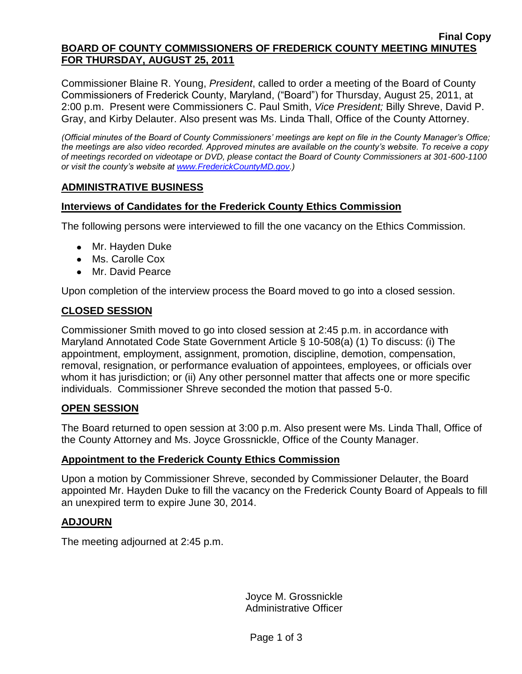#### **Final Copy BOARD OF COUNTY COMMISSIONERS OF FREDERICK COUNTY MEETING MINUTES FOR THURSDAY, AUGUST 25, 2011**

Commissioner Blaine R. Young, *President*, called to order a meeting of the Board of County Commissioners of Frederick County, Maryland, ("Board") for Thursday, August 25, 2011, at 2:00 p.m. Present were Commissioners C. Paul Smith, *Vice President;* Billy Shreve, David P. Gray, and Kirby Delauter. Also present was Ms. Linda Thall, Office of the County Attorney.

*(Official minutes of the Board of County Commissioners' meetings are kept on file in the County Manager's Office; the meetings are also video recorded. Approved minutes are available on the county's website. To receive a copy of meetings recorded on videotape or DVD, please contact the Board of County Commissioners at 301-600-1100 or visit the county's website at [www.FrederickCountyMD.gov.](http://www.frederickcountymd.gov/))*

## **ADMINISTRATIVE BUSINESS**

### **Interviews of Candidates for the Frederick County Ethics Commission**

The following persons were interviewed to fill the one vacancy on the Ethics Commission.

- Mr. Hayden Duke
- Ms. Carolle Cox
- Mr. David Pearce

Upon completion of the interview process the Board moved to go into a closed session.

## **CLOSED SESSION**

Commissioner Smith moved to go into closed session at 2:45 p.m. in accordance with Maryland Annotated Code State Government Article § 10-508(a) (1) To discuss: (i) The appointment, employment, assignment, promotion, discipline, demotion, compensation, removal, resignation, or performance evaluation of appointees, employees, or officials over whom it has jurisdiction; or (ii) Any other personnel matter that affects one or more specific individuals. Commissioner Shreve seconded the motion that passed 5-0.

#### **OPEN SESSION**

The Board returned to open session at 3:00 p.m. Also present were Ms. Linda Thall, Office of the County Attorney and Ms. Joyce Grossnickle, Office of the County Manager.

#### **Appointment to the Frederick County Ethics Commission**

Upon a motion by Commissioner Shreve, seconded by Commissioner Delauter, the Board appointed Mr. Hayden Duke to fill the vacancy on the Frederick County Board of Appeals to fill an unexpired term to expire June 30, 2014.

#### **ADJOURN**

The meeting adjourned at 2:45 p.m.

Joyce M. Grossnickle Administrative Officer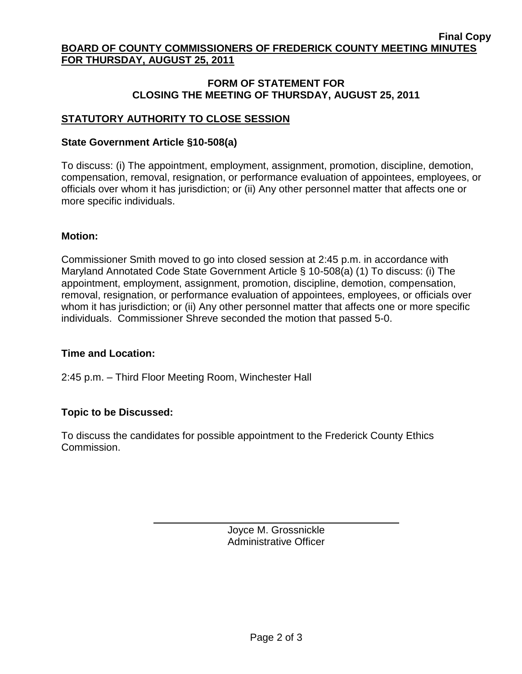#### **Final Copy BOARD OF COUNTY COMMISSIONERS OF FREDERICK COUNTY MEETING MINUTES FOR THURSDAY, AUGUST 25, 2011**

### **FORM OF STATEMENT FOR CLOSING THE MEETING OF THURSDAY, AUGUST 25, 2011**

# **STATUTORY AUTHORITY TO CLOSE SESSION**

### **State Government Article §10-508(a)**

To discuss: (i) The appointment, employment, assignment, promotion, discipline, demotion, compensation, removal, resignation, or performance evaluation of appointees, employees, or officials over whom it has jurisdiction; or (ii) Any other personnel matter that affects one or more specific individuals.

#### **Motion:**

Commissioner Smith moved to go into closed session at 2:45 p.m. in accordance with Maryland Annotated Code State Government Article § 10-508(a) (1) To discuss: (i) The appointment, employment, assignment, promotion, discipline, demotion, compensation, removal, resignation, or performance evaluation of appointees, employees, or officials over whom it has jurisdiction; or (ii) Any other personnel matter that affects one or more specific individuals. Commissioner Shreve seconded the motion that passed 5-0.

#### **Time and Location:**

2:45 p.m. – Third Floor Meeting Room, Winchester Hall

## **Topic to be Discussed:**

To discuss the candidates for possible appointment to the Frederick County Ethics Commission.

> Joyce M. Grossnickle Administrative Officer